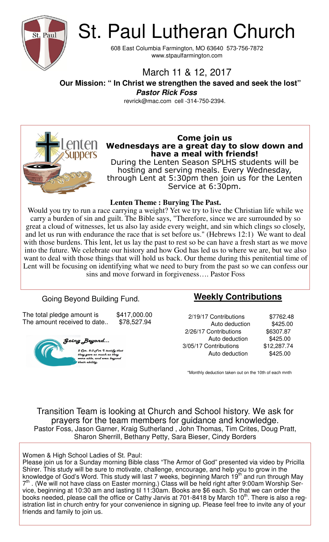

St. Paul Lutheran Church

608 East Columbia Farmington, MO 63640 573-756-7872 www.stpaulfarmington.com

# March 11 & 12, 2017

 **Our Mission: " In Christ we strengthen the saved and seek the lost" Pastor Rick Foss** 

revrick@mac.com cell -314-750-2394.



### **Come join us Wednesdays are a great day to slow down and have a meal with friends!**

During the Lenten Season SPLHS students will be hosting and serving meals. Every Wednesday, through Lent at 5:30pm then join us for the Lenten Service at 6:30pm.

#### **Lenten Theme : Burying The Past.**

Would you try to run a race carrying a weight? Yet we try to live the Christian life while we carry a burden of sin and guilt. The Bible says, "Therefore, since we are surrounded by so great a cloud of witnesses, let us also lay aside every weight, and sin which clings so closely, and let us run with endurance the race that is set before us." (Hebrews 12:1) We want to deal with those burdens. This lent, let us lay the past to rest so be can have a fresh start as we move into the future. We celebrate our history and how God has led us to where we are, but we also want to deal with those things that will hold us back. Our theme during this penitential time of Lent will be focusing on identifying what we need to bury from the past so we can confess our sins and move forward in forgiveness…. Pastor Foss

## Going Beyond Building Fund.

The total pledge amount is  $$417,000.00$ The amount received to date.. \$78,527.94



## **Weekly Contributions**

 2/19/17 Contributions \$7762.48 Auto deduction \$425.00 2/26/17 Contributions \$6307.87 Auto deduction \$425.00 3/05/17 Contributions \$12,287.74 Auto deduction \$425.00

\*Monthly deduction taken out on the 10th of each mnth

Transition Team is looking at Church and School history. We ask for prayers for the team members for guidance and knowledge. Pastor Foss, Jason Garner, Kraig Sutherland , John Thomas, Tim Crites, Doug Pratt, Sharon Sherrill, Bethany Petty, Sara Bieser, Cindy Borders

#### Women & High School Ladies of St. Paul:

Please join us for a Sunday morning Bible class "The Armor of God" presented via video by Pricilla Shirer. This study will be sure to motivate, challenge, encourage, and help you to grow in the knowledge of God's Word. This study will last 7 weeks, beginning March 19<sup>th</sup> and run through May 7<sup>th</sup>. (We will not have class on Easter morning.) Class will be held right after 9:00am Worship Service, beginning at 10:30 am and lasting til 11:30am. Books are \$6 each. So that we can order the books needed, please call the office or Cathy Jarvis at 701-8418 by March 10<sup>th</sup>. There is also a registration list in church entry for your convenience in signing up. Please feel free to invite any of your friends and family to join us.